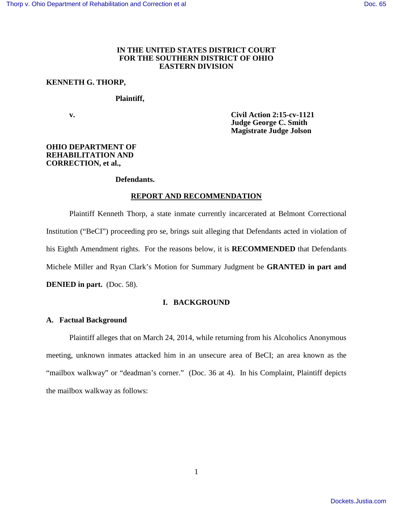# **IN THE UNITED STATES DISTRICT COURT FOR THE SOUTHERN DISTRICT OF OHIO EASTERN DIVISION**

## **KENNETH G. THORP,**

## **Plaintiff,**

 **v. Civil Action 2:15-cv-1121 Judge George C. Smith Magistrate Judge Jolson** 

# **OHIO DEPARTMENT OF REHABILITATION AND CORRECTION, et al.,**

### **Defendants.**

### **REPORT AND RECOMMENDATION**

Plaintiff Kenneth Thorp, a state inmate currently incarcerated at Belmont Correctional Institution ("BeCI") proceeding pro se, brings suit alleging that Defendants acted in violation of his Eighth Amendment rights. For the reasons below, it is **RECOMMENDED** that Defendants Michele Miller and Ryan Clark's Motion for Summary Judgment be **GRANTED in part and DENIED in part.** (Doc. 58).

## **I. BACKGROUND**

### **A. Factual Background**

Plaintiff alleges that on March 24, 2014, while returning from his Alcoholics Anonymous meeting, unknown inmates attacked him in an unsecure area of BeCI; an area known as the "mailbox walkway" or "deadman's corner." (Doc. 36 at 4). In his Complaint, Plaintiff depicts the mailbox walkway as follows: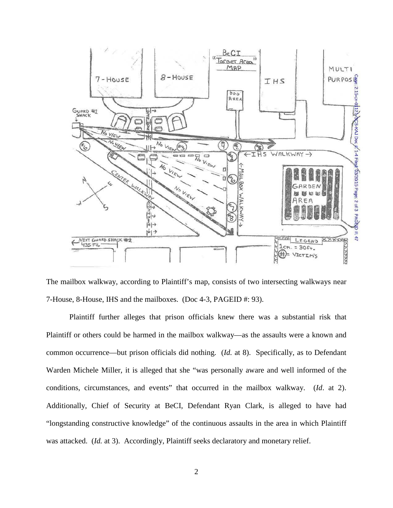

The mailbox walkway, according to Plaintiff's map, consists of two intersecting walkways near 7-House, 8-House, IHS and the mailboxes. (Doc 4-3, PAGEID #: 93).

Plaintiff further alleges that prison officials knew there was a substantial risk that Plaintiff or others could be harmed in the mailbox walkway—as the assaults were a known and common occurrence—but prison officials did nothing. (*Id.* at 8). Specifically, as to Defendant Warden Michele Miller, it is alleged that she "was personally aware and well informed of the conditions, circumstances, and events" that occurred in the mailbox walkway. (*Id*. at 2). Additionally, Chief of Security at BeCI, Defendant Ryan Clark, is alleged to have had "longstanding constructive knowledge" of the continuous assaults in the area in which Plaintiff was attacked. (*Id.* at 3). Accordingly, Plaintiff seeks declaratory and monetary relief.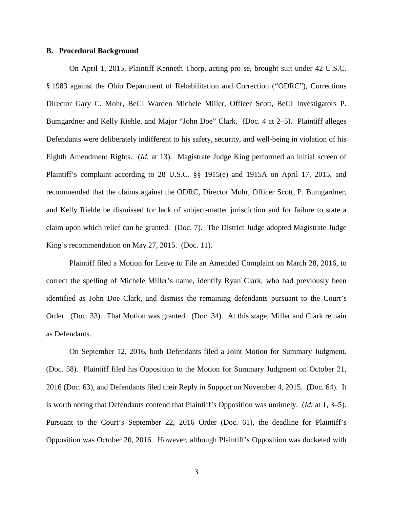## **B. Procedural Background**

On April 1, 2015, Plaintiff Kenneth Thorp, acting pro se, brought suit under 42 U.S.C. § 1983 against the Ohio Department of Rehabilitation and Correction ("ODRC"), Corrections Director Gary C. Mohr, BeCI Warden Michele Miller, Officer Scott, BeCI Investigators P. Bumgardner and Kelly Riehle, and Major "John Doe" Clark. (Doc. 4 at 2–5). Plaintiff alleges Defendants were deliberately indifferent to his safety, security, and well-being in violation of his Eighth Amendment Rights. (*Id.* at 13). Magistrate Judge King performed an initial screen of Plaintiff's complaint according to 28 U.S.C. §§ 1915(e) and 1915A on April 17, 2015, and recommended that the claims against the ODRC, Director Mohr, Officer Scott, P. Bumgardner, and Kelly Riehle be dismissed for lack of subject-matter jurisdiction and for failure to state a claim upon which relief can be granted. (Doc. 7). The District Judge adopted Magistrate Judge King's recommendation on May 27, 2015. (Doc. 11).

Plaintiff filed a Motion for Leave to File an Amended Complaint on March 28, 2016, to correct the spelling of Michele Miller's name, identify Ryan Clark, who had previously been identified as John Doe Clark, and dismiss the remaining defendants pursuant to the Court's Order. (Doc. 33). That Motion was granted. (Doc. 34). At this stage, Miller and Clark remain as Defendants.

On September 12, 2016, both Defendants filed a Joint Motion for Summary Judgment. (Doc. 58). Plaintiff filed his Opposition to the Motion for Summary Judgment on October 21, 2016 (Doc. 63), and Defendants filed their Reply in Support on November 4, 2015. (Doc. 64). It is worth noting that Defendants contend that Plaintiff's Opposition was untimely. (*Id.* at 1, 3–5). Pursuant to the Court's September 22, 2016 Order (Doc. 61), the deadline for Plaintiff's Opposition was October 20, 2016. However, although Plaintiff's Opposition was docketed with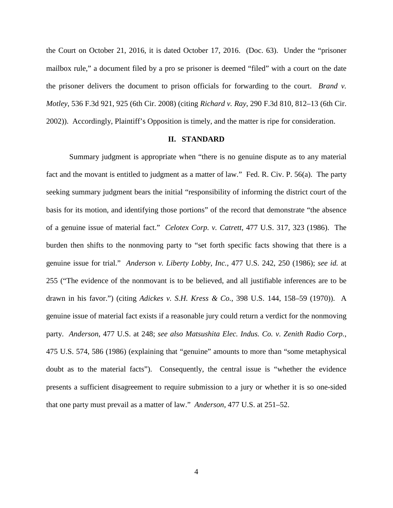the Court on October 21, 2016, it is dated October 17, 2016. (Doc. 63). Under the "prisoner mailbox rule," a document filed by a pro se prisoner is deemed "filed" with a court on the date the prisoner delivers the document to prison officials for forwarding to the court. *Brand v. Motley*, 536 F.3d 921, 925 (6th Cir. 2008) (citing *Richard v. Ray*, 290 F.3d 810, 812–13 (6th Cir. 2002)). Accordingly, Plaintiff's Opposition is timely, and the matter is ripe for consideration.

## **II. STANDARD**

Summary judgment is appropriate when "there is no genuine dispute as to any material fact and the movant is entitled to judgment as a matter of law." Fed. R. Civ. P. 56(a). The party seeking summary judgment bears the initial "responsibility of informing the district court of the basis for its motion, and identifying those portions" of the record that demonstrate "the absence of a genuine issue of material fact." *Celotex Corp. v. Catrett*, 477 U.S. 317, 323 (1986). The burden then shifts to the nonmoving party to "set forth specific facts showing that there is a genuine issue for trial." *Anderson v. Liberty Lobby, Inc.*, 477 U.S. 242, 250 (1986); *see id.* at 255 ("The evidence of the nonmovant is to be believed, and all justifiable inferences are to be drawn in his favor.") (citing *Adickes v. S.H. Kress & Co.*, 398 U.S. 144, 158–59 (1970)). A genuine issue of material fact exists if a reasonable jury could return a verdict for the nonmoving party. *Anderson*, 477 U.S. at 248; *see also Matsushita Elec. Indus. Co. v. Zenith Radio Corp.*, 475 U.S. 574, 586 (1986) (explaining that "genuine" amounts to more than "some metaphysical doubt as to the material facts"). Consequently, the central issue is "whether the evidence presents a sufficient disagreement to require submission to a jury or whether it is so one-sided that one party must prevail as a matter of law." *Anderson*, 477 U.S. at 251–52.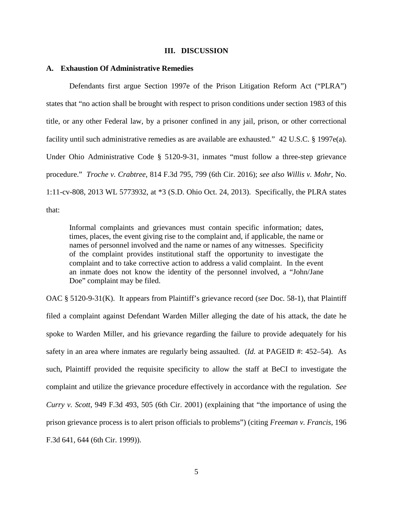#### **III. DISCUSSION**

## **A. Exhaustion Of Administrative Remedies**

Defendants first argue Section 1997e of the Prison Litigation Reform Act ("PLRA") states that "no action shall be brought with respect to prison conditions under section 1983 of this title, or any other Federal law, by a prisoner confined in any jail, prison, or other correctional facility until such administrative remedies as are available are exhausted." 42 U.S.C. § 1997e(a). Under Ohio Administrative Code § 5120-9-31, inmates "must follow a three-step grievance procedure." *Troche v. Crabtree*, 814 F.3d 795, 799 (6th Cir. 2016); *see also Willis v. Mohr*, No. 1:11-cv-808, 2013 WL 5773932, at \*3 (S.D. Ohio Oct. 24, 2013). Specifically, the PLRA states that:

Informal complaints and grievances must contain specific information; dates, times, places, the event giving rise to the complaint and, if applicable, the name or names of personnel involved and the name or names of any witnesses. Specificity of the complaint provides institutional staff the opportunity to investigate the complaint and to take corrective action to address a valid complaint. In the event an inmate does not know the identity of the personnel involved, a "John/Jane Doe" complaint may be filed.

OAC § 5120-9-31(K). It appears from Plaintiff's grievance record (*see* Doc. 58-1), that Plaintiff filed a complaint against Defendant Warden Miller alleging the date of his attack, the date he spoke to Warden Miller, and his grievance regarding the failure to provide adequately for his safety in an area where inmates are regularly being assaulted. (*Id.* at PAGEID #: 452–54). As such, Plaintiff provided the requisite specificity to allow the staff at BeCI to investigate the complaint and utilize the grievance procedure effectively in accordance with the regulation. *See Curry v. Scott*, 949 F.3d 493, 505 (6th Cir. 2001) (explaining that "the importance of using the prison grievance process is to alert prison officials to problems") (citing *Freeman v. Francis*, 196 F.3d 641, 644 (6th Cir. 1999)).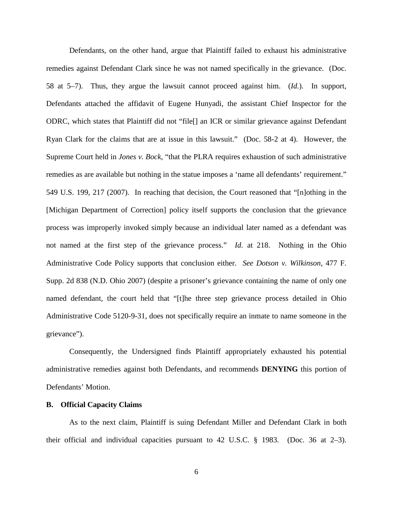Defendants, on the other hand, argue that Plaintiff failed to exhaust his administrative remedies against Defendant Clark since he was not named specifically in the grievance. (Doc. 58 at 5–7). Thus, they argue the lawsuit cannot proceed against him. (*Id.*). In support, Defendants attached the affidavit of Eugene Hunyadi, the assistant Chief Inspector for the ODRC, which states that Plaintiff did not "file[] an ICR or similar grievance against Defendant Ryan Clark for the claims that are at issue in this lawsuit." (Doc. 58-2 at 4). However, the Supreme Court held in *Jones v. Bock*, "that the PLRA requires exhaustion of such administrative remedies as are available but nothing in the statue imposes a 'name all defendants' requirement." 549 U.S. 199, 217 (2007). In reaching that decision, the Court reasoned that "[n]othing in the [Michigan Department of Correction] policy itself supports the conclusion that the grievance process was improperly invoked simply because an individual later named as a defendant was not named at the first step of the grievance process." *Id.* at 218. Nothing in the Ohio Administrative Code Policy supports that conclusion either. *See Dotson v. Wilkinson*, 477 F. Supp. 2d 838 (N.D. Ohio 2007) (despite a prisoner's grievance containing the name of only one named defendant, the court held that "[t]he three step grievance process detailed in Ohio Administrative Code 5120-9-31, does not specifically require an inmate to name someone in the grievance").

Consequently, the Undersigned finds Plaintiff appropriately exhausted his potential administrative remedies against both Defendants, and recommends **DENYING** this portion of Defendants' Motion.

### **B. Official Capacity Claims**

As to the next claim, Plaintiff is suing Defendant Miller and Defendant Clark in both their official and individual capacities pursuant to 42 U.S.C. § 1983. (Doc. 36 at 2–3).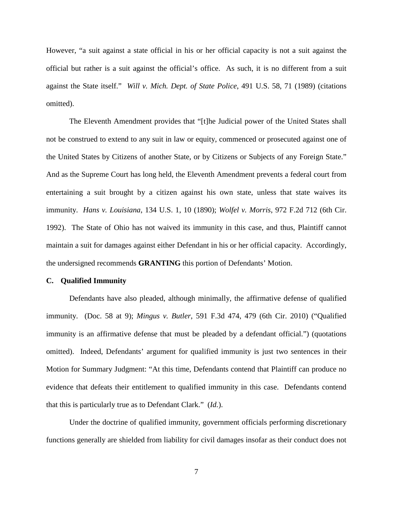However, "a suit against a state official in his or her official capacity is not a suit against the official but rather is a suit against the official's office. As such, it is no different from a suit against the State itself." *Will v. Mich. Dept. of State Police*, 491 U.S. 58, 71 (1989) (citations omitted).

The Eleventh Amendment provides that "[t]he Judicial power of the United States shall not be construed to extend to any suit in law or equity, commenced or prosecuted against one of the United States by Citizens of another State, or by Citizens or Subjects of any Foreign State." And as the Supreme Court has long held, the Eleventh Amendment prevents a federal court from entertaining a suit brought by a citizen against his own state, unless that state waives its immunity. *Hans v. Louisiana*, 134 U.S. 1, 10 (1890); *Wolfel v. Morris*, 972 F.2d 712 (6th Cir. 1992). The State of Ohio has not waived its immunity in this case, and thus, Plaintiff cannot maintain a suit for damages against either Defendant in his or her official capacity. Accordingly, the undersigned recommends **GRANTING** this portion of Defendants' Motion.

## **C. Qualified Immunity**

Defendants have also pleaded, although minimally, the affirmative defense of qualified immunity. (Doc. 58 at 9); *Mingus v. Butler*, 591 F.3d 474, 479 (6th Cir. 2010) ("Qualified immunity is an affirmative defense that must be pleaded by a defendant official.") (quotations omitted). Indeed, Defendants' argument for qualified immunity is just two sentences in their Motion for Summary Judgment: "At this time, Defendants contend that Plaintiff can produce no evidence that defeats their entitlement to qualified immunity in this case. Defendants contend that this is particularly true as to Defendant Clark." (*Id.*).

Under the doctrine of qualified immunity, government officials performing discretionary functions generally are shielded from liability for civil damages insofar as their conduct does not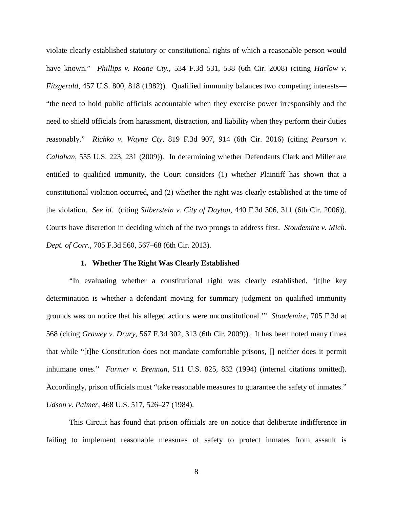violate clearly established statutory or constitutional rights of which a reasonable person would have known." *Phillips v. Roane Cty.*, 534 F.3d 531, 538 (6th Cir. 2008) (citing *Harlow v. Fitzgerald*, 457 U.S. 800, 818 (1982)). Qualified immunity balances two competing interests— "the need to hold public officials accountable when they exercise power irresponsibly and the need to shield officials from harassment, distraction, and liability when they perform their duties reasonably." *Richko v. Wayne Cty*, 819 F.3d 907, 914 (6th Cir. 2016) (citing *Pearson v. Callahan*, 555 U.S. 223, 231 (2009)). In determining whether Defendants Clark and Miller are entitled to qualified immunity, the Court considers (1) whether Plaintiff has shown that a constitutional violation occurred, and (2) whether the right was clearly established at the time of the violation. *See id*. (citing *Silberstein v. City of Dayton*, 440 F.3d 306, 311 (6th Cir. 2006)). Courts have discretion in deciding which of the two prongs to address first. *Stoudemire v. Mich. Dept. of Corr.*, 705 F.3d 560, 567–68 (6th Cir. 2013).

# **1. Whether The Right Was Clearly Established**

"In evaluating whether a constitutional right was clearly established, '[t]he key determination is whether a defendant moving for summary judgment on qualified immunity grounds was on notice that his alleged actions were unconstitutional.'" *Stoudemire*, 705 F.3d at 568 (citing *Grawey v. Drury*, 567 F.3d 302, 313 (6th Cir. 2009)). It has been noted many times that while "[t]he Constitution does not mandate comfortable prisons, [] neither does it permit inhumane ones." *Farmer v. Brennan*, 511 U.S. 825, 832 (1994) (internal citations omitted). Accordingly, prison officials must "take reasonable measures to guarantee the safety of inmates." *Udson v. Palmer*, 468 U.S. 517, 526–27 (1984).

This Circuit has found that prison officials are on notice that deliberate indifference in failing to implement reasonable measures of safety to protect inmates from assault is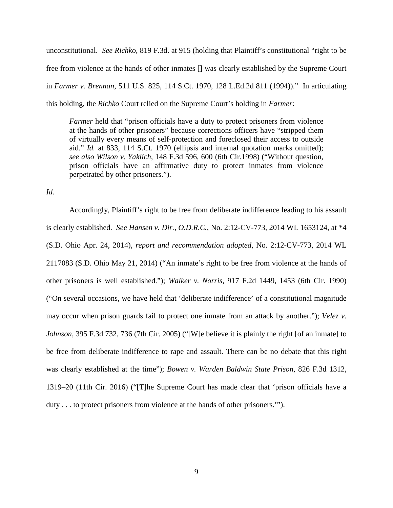unconstitutional. *See Richko*, 819 F.3d. at 915 (holding that Plaintiff's constitutional "right to be free from violence at the hands of other inmates [] was clearly established by the Supreme Court in *Farmer v. Brennan*, 511 U.S. 825, 114 S.Ct. 1970, 128 L.Ed.2d 811 (1994))." In articulating this holding, the *Richko* Court relied on the Supreme Court's holding in *Farmer*:

*Farmer* held that "prison officials have a duty to protect prisoners from violence at the hands of other prisoners" because corrections officers have "stripped them of virtually every means of self-protection and foreclosed their access to outside aid." *Id.* at 833, 114 S.Ct. 1970 (ellipsis and internal quotation marks omitted); *see also Wilson v. Yaklich*, 148 F.3d 596, 600 (6th Cir.1998) ("Without question, prison officials have an affirmative duty to protect inmates from violence perpetrated by other prisoners.").

*Id.* 

Accordingly, Plaintiff's right to be free from deliberate indifference leading to his assault is clearly established. *See Hansen v. Dir., O.D.R.C.*, No. 2:12-CV-773, 2014 WL 1653124, at \*4 (S.D. Ohio Apr. 24, 2014), *report and recommendation adopted*, No. 2:12-CV-773, 2014 WL 2117083 (S.D. Ohio May 21, 2014) ("An inmate's right to be free from violence at the hands of other prisoners is well established."); *Walker v. Norris*, 917 F.2d 1449, 1453 (6th Cir. 1990) ("On several occasions, we have held that 'deliberate indifference' of a constitutional magnitude may occur when prison guards fail to protect one inmate from an attack by another."); *Velez v. Johnson*, 395 F.3d 732, 736 (7th Cir. 2005) ("[W]e believe it is plainly the right [of an inmate] to be free from deliberate indifference to rape and assault. There can be no debate that this right was clearly established at the time"); *Bowen v. Warden Baldwin State Prison*, 826 F.3d 1312, 1319–20 (11th Cir. 2016) ("[T]he Supreme Court has made clear that 'prison officials have a duty . . . to protect prisoners from violence at the hands of other prisoners.'").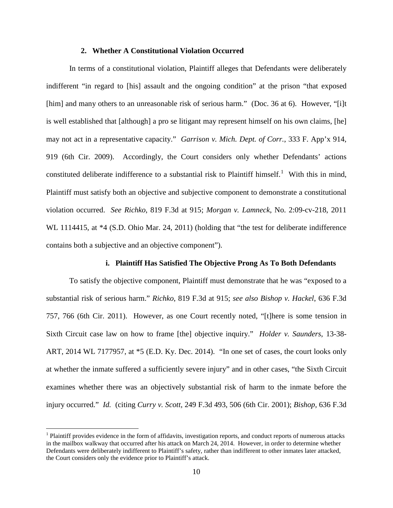## **2. Whether A Constitutional Violation Occurred**

In terms of a constitutional violation, Plaintiff alleges that Defendants were deliberately indifferent "in regard to [his] assault and the ongoing condition" at the prison "that exposed [him] and many others to an unreasonable risk of serious harm." (Doc. 36 at 6). However, "[i]t is well established that [although] a pro se litigant may represent himself on his own claims, [he] may not act in a representative capacity." *Garrison v. Mich. Dept. of Corr.*, 333 F. App'x 914, 919 (6th Cir. 2009). Accordingly, the Court considers only whether Defendants' actions constituted deliberate indifference to a substantial risk to Plaintiff himself.<sup>[1](#page-9-0)</sup> With this in mind, Plaintiff must satisfy both an objective and subjective component to demonstrate a constitutional violation occurred. *See Richko*, 819 F.3d at 915; *Morgan v. Lamneck*, No. 2:09-cv-218, 2011 WL 1114415, at  $*4$  (S.D. Ohio Mar. 24, 2011) (holding that "the test for deliberate indifference contains both a subjective and an objective component").

# **i. Plaintiff Has Satisfied The Objective Prong As To Both Defendants**

To satisfy the objective component, Plaintiff must demonstrate that he was "exposed to a substantial risk of serious harm." *Richko*, 819 F.3d at 915; *see also Bishop v. Hackel*, 636 F.3d 757, 766 (6th Cir. 2011). However, as one Court recently noted, "[t]here is some tension in Sixth Circuit case law on how to frame [the] objective inquiry." *Holder v. Saunders*, 13-38- ART, 2014 WL 7177957, at \*5 (E.D. Ky. Dec. 2014). "In one set of cases, the court looks only at whether the inmate suffered a sufficiently severe injury" and in other cases, "the Sixth Circuit examines whether there was an objectively substantial risk of harm to the inmate before the injury occurred." *Id.* (citing *Curry v. Scott*, 249 F.3d 493, 506 (6th Cir. 2001); *Bishop*, 636 F.3d

 $\overline{a}$ 

<span id="page-9-0"></span><sup>&</sup>lt;sup>1</sup> Plaintiff provides evidence in the form of affidavits, investigation reports, and conduct reports of numerous attacks in the mailbox walkway that occurred after his attack on March 24, 2014. However, in order to determine whether Defendants were deliberately indifferent to Plaintiff's safety, rather than indifferent to other inmates later attacked, the Court considers only the evidence prior to Plaintiff's attack.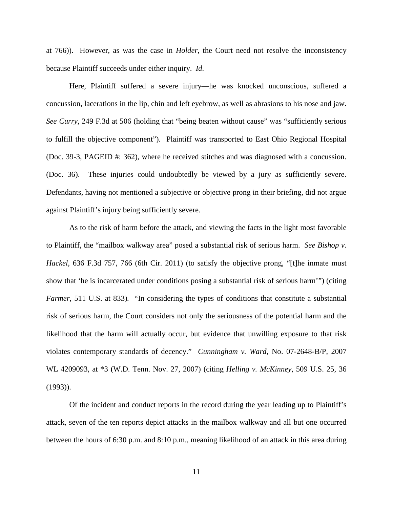at 766)). However, as was the case in *Holder*, the Court need not resolve the inconsistency because Plaintiff succeeds under either inquiry. *Id.*

Here, Plaintiff suffered a severe injury—he was knocked unconscious, suffered a concussion, lacerations in the lip, chin and left eyebrow, as well as abrasions to his nose and jaw. *See Curry*, 249 F.3d at 506 (holding that "being beaten without cause" was "sufficiently serious to fulfill the objective component"). Plaintiff was transported to East Ohio Regional Hospital (Doc. 39-3, PAGEID #: 362), where he received stitches and was diagnosed with a concussion. (Doc. 36). These injuries could undoubtedly be viewed by a jury as sufficiently severe. Defendants, having not mentioned a subjective or objective prong in their briefing, did not argue against Plaintiff's injury being sufficiently severe.

As to the risk of harm before the attack, and viewing the facts in the light most favorable to Plaintiff, the "mailbox walkway area" posed a substantial risk of serious harm. *See Bishop v. Hackel*, 636 F.3d 757, 766 (6th Cir. 2011) (to satisfy the objective prong, "[t]he inmate must show that 'he is incarcerated under conditions posing a substantial risk of serious harm'") (citing *Farmer*, 511 U.S. at 833)*.* "In considering the types of conditions that constitute a substantial risk of serious harm, the Court considers not only the seriousness of the potential harm and the likelihood that the harm will actually occur, but evidence that unwilling exposure to that risk violates contemporary standards of decency." *Cunningham v. Ward*, No. 07-2648-B/P, 2007 WL 4209093, at \*3 (W.D. Tenn. Nov. 27, 2007) (citing *Helling v. McKinney*, 509 U.S. 25, 36 (1993)).

Of the incident and conduct reports in the record during the year leading up to Plaintiff's attack, seven of the ten reports depict attacks in the mailbox walkway and all but one occurred between the hours of 6:30 p.m. and 8:10 p.m., meaning likelihood of an attack in this area during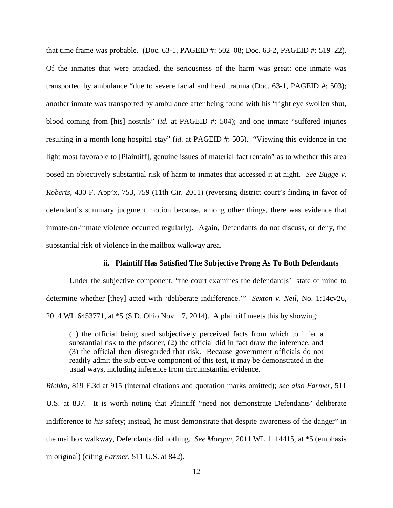that time frame was probable. (Doc. 63-1, PAGEID #: 502–08; Doc. 63-2, PAGEID #: 519–22). Of the inmates that were attacked, the seriousness of the harm was great: one inmate was transported by ambulance "due to severe facial and head trauma (Doc. 63-1, PAGEID #: 503); another inmate was transported by ambulance after being found with his "right eye swollen shut, blood coming from [his] nostrils" (*id.* at PAGEID #: 504); and one inmate "suffered injuries resulting in a month long hospital stay" (*id.* at PAGEID #: 505). "Viewing this evidence in the light most favorable to [Plaintiff], genuine issues of material fact remain" as to whether this area posed an objectively substantial risk of harm to inmates that accessed it at night. *See Bugge v. Roberts*, 430 F. App'x, 753, 759 (11th Cir. 2011) (reversing district court's finding in favor of defendant's summary judgment motion because, among other things, there was evidence that inmate-on-inmate violence occurred regularly). Again, Defendants do not discuss, or deny, the substantial risk of violence in the mailbox walkway area.

# **ii. Plaintiff Has Satisfied The Subjective Prong As To Both Defendants**

Under the subjective component, "the court examines the defendant  $[s]$ " state of mind to determine whether [they] acted with 'deliberate indifference.'" *Sexton v. Neil*, No. 1:14cv26, 2014 WL 6453771, at \*5 (S.D. Ohio Nov. 17, 2014). A plaintiff meets this by showing:

(1) the official being sued subjectively perceived facts from which to infer a substantial risk to the prisoner, (2) the official did in fact draw the inference, and (3) the official then disregarded that risk. Because government officials do not readily admit the subjective component of this test, it may be demonstrated in the usual ways, including inference from circumstantial evidence.

*Richko*, 819 F.3d at 915 (internal citations and quotation marks omitted); *see also Farmer*, 511 U.S. at 837. It is worth noting that Plaintiff "need not demonstrate Defendants' deliberate indifference to *his* safety; instead, he must demonstrate that despite awareness of the danger" in the mailbox walkway, Defendants did nothing. *See Morgan*, 2011 WL 1114415, at \*5 (emphasis in original) (citing *Farmer*, 511 U.S. at 842).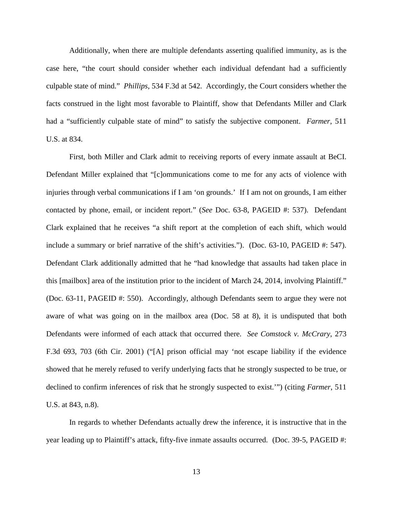Additionally, when there are multiple defendants asserting qualified immunity, as is the case here, "the court should consider whether each individual defendant had a sufficiently culpable state of mind." *Phillips*, 534 F.3d at 542. Accordingly, the Court considers whether the facts construed in the light most favorable to Plaintiff, show that Defendants Miller and Clark had a "sufficiently culpable state of mind" to satisfy the subjective component. *Farmer*, 511 U.S. at 834.

First, both Miller and Clark admit to receiving reports of every inmate assault at BeCI. Defendant Miller explained that "[c]ommunications come to me for any acts of violence with injuries through verbal communications if I am 'on grounds.' If I am not on grounds, I am either contacted by phone, email, or incident report." (*See* Doc. 63-8, PAGEID #: 537). Defendant Clark explained that he receives "a shift report at the completion of each shift, which would include a summary or brief narrative of the shift's activities."). (Doc. 63-10, PAGEID #: 547). Defendant Clark additionally admitted that he "had knowledge that assaults had taken place in this [mailbox] area of the institution prior to the incident of March 24, 2014, involving Plaintiff." (Doc. 63-11, PAGEID #: 550). Accordingly, although Defendants seem to argue they were not aware of what was going on in the mailbox area (Doc. 58 at 8), it is undisputed that both Defendants were informed of each attack that occurred there. *See Comstock v. McCrary*, 273 F.3d 693, 703 (6th Cir. 2001) ("[A] prison official may 'not escape liability if the evidence showed that he merely refused to verify underlying facts that he strongly suspected to be true, or declined to confirm inferences of risk that he strongly suspected to exist.'") (citing *Farmer*, 511 U.S. at 843, n.8).

In regards to whether Defendants actually drew the inference, it is instructive that in the year leading up to Plaintiff's attack, fifty-five inmate assaults occurred. (Doc. 39-5, PAGEID #: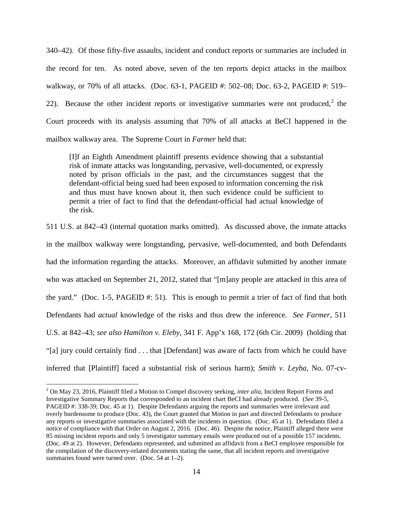340–42). Of those fifty-five assaults, incident and conduct reports or summaries are included in the record for ten. As noted above, seven of the ten reports depict attacks in the mailbox walkway, or 70% of all attacks. (Doc. 63-1, PAGEID #: 502–08; Doc. 63-2, PAGEID #: 519– [2](#page-13-0)2). Because the other incident reports or investigative summaries were not produced,<sup>2</sup> the Court proceeds with its analysis assuming that 70% of all attacks at BeCI happened in the mailbox walkway area. The Supreme Court in *Farmer* held that:

[I]f an Eighth Amendment plaintiff presents evidence showing that a substantial risk of inmate attacks was longstanding, pervasive, well-documented, or expressly noted by prison officials in the past, and the circumstances suggest that the defendant-official being sued had been exposed to information concerning the risk and thus must have known about it, then such evidence could be sufficient to permit a trier of fact to find that the defendant-official had actual knowledge of the risk.

511 U.S. at 842–43 (internal quotation marks omitted). As discussed above, the inmate attacks in the mailbox walkway were longstanding, pervasive, well-documented, and both Defendants had the information regarding the attacks. Moreover, an affidavit submitted by another inmate who was attacked on September 21, 2012, stated that "[m]any people are attacked in this area of the yard." (Doc. 1-5, PAGEID #: 51). This is enough to permit a trier of fact of find that both Defendants had *actual* knowledge of the risks and thus drew the inference. *See Farmer*, 511 U.S. at 842–43; *see also Hamilton v. Eleby*, 341 F. App'x 168, 172 (6th Cir. 2009) (holding that "[a] jury could certainly find . . . that [Defendant] was aware of facts from which he could have inferred that [Plaintiff] faced a substantial risk of serious harm); *Smith v. Leyba*, No. 07-cv-

 $\overline{a}$ 

<span id="page-13-0"></span><sup>2</sup> On May 23, 2016, Plaintiff filed a Motion to Compel discovery seeking, *inter alia*, Incident Report Forms and Investigative Summary Reports that corresponded to an incident chart BeCI had already produced. (*See* 39-5, PAGEID #: 338-39; Doc. 45 at 1). Despite Defendants arguing the reports and summaries were irrelevant and overly burdensome to produce (Doc. 43), the Court granted that Motion in part and directed Defendants to produce any reports or investigative summaries associated with the incidents in question. (Doc. 45 at 1). Defendants filed a notice of compliance with that Order on August 2, 2016. (Doc. 46). Despite the notice, Plaintiff alleged there were 85 missing incident reports and only 5 investigator summary emails were produced out of a possible 157 incidents. (Doc. 49 at 2). However, Defendants represented, and submitted an affidavit from a BeCI employee responsible for the compilation of the discovery-related documents stating the same, that all incident reports and investigative summaries found were turned over. (Doc. 54 at 1–2).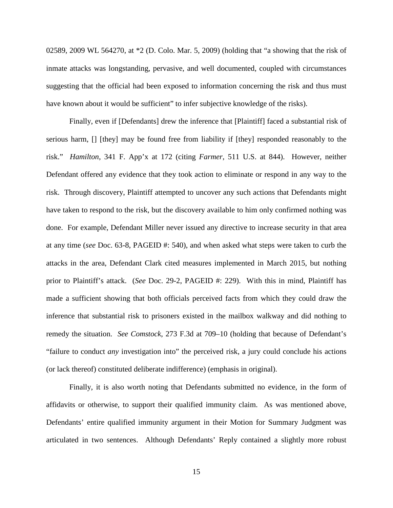02589, 2009 WL 564270, at \*2 (D. Colo. Mar. 5, 2009) (holding that "a showing that the risk of inmate attacks was longstanding, pervasive, and well documented, coupled with circumstances suggesting that the official had been exposed to information concerning the risk and thus must have known about it would be sufficient" to infer subjective knowledge of the risks).

Finally, even if [Defendants] drew the inference that [Plaintiff] faced a substantial risk of serious harm, [] [they] may be found free from liability if [they] responded reasonably to the risk." *Hamilton*, 341 F. App'x at 172 (citing *Farmer*, 511 U.S. at 844). However, neither Defendant offered any evidence that they took action to eliminate or respond in any way to the risk. Through discovery, Plaintiff attempted to uncover any such actions that Defendants might have taken to respond to the risk, but the discovery available to him only confirmed nothing was done. For example, Defendant Miller never issued any directive to increase security in that area at any time (*see* Doc. 63-8, PAGEID #: 540), and when asked what steps were taken to curb the attacks in the area, Defendant Clark cited measures implemented in March 2015, but nothing prior to Plaintiff's attack. (*See* Doc. 29-2, PAGEID #: 229). With this in mind, Plaintiff has made a sufficient showing that both officials perceived facts from which they could draw the inference that substantial risk to prisoners existed in the mailbox walkway and did nothing to remedy the situation. *See Comstock*, 273 F.3d at 709–10 (holding that because of Defendant's "failure to conduct *any* investigation into" the perceived risk, a jury could conclude his actions (or lack thereof) constituted deliberate indifference) (emphasis in original).

Finally, it is also worth noting that Defendants submitted no evidence, in the form of affidavits or otherwise, to support their qualified immunity claim. As was mentioned above, Defendants' entire qualified immunity argument in their Motion for Summary Judgment was articulated in two sentences. Although Defendants' Reply contained a slightly more robust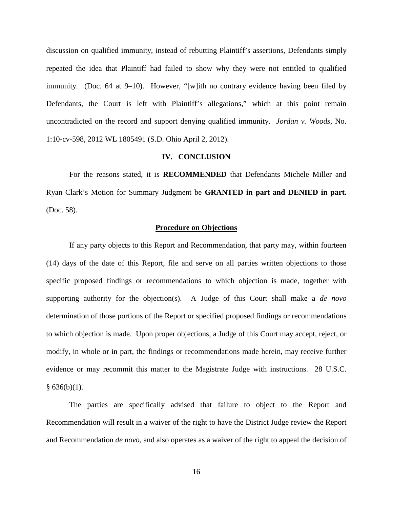discussion on qualified immunity, instead of rebutting Plaintiff's assertions, Defendants simply repeated the idea that Plaintiff had failed to show why they were not entitled to qualified immunity. (Doc. 64 at 9–10). However, "[w]ith no contrary evidence having been filed by Defendants, the Court is left with Plaintiff's allegations," which at this point remain uncontradicted on the record and support denying qualified immunity. *Jordan v. Woods*, No. 1:10-cv-598, 2012 WL 1805491 (S.D. Ohio April 2, 2012).

## **IV. CONCLUSION**

For the reasons stated, it is **RECOMMENDED** that Defendants Michele Miller and Ryan Clark's Motion for Summary Judgment be **GRANTED in part and DENIED in part.**  (Doc. 58).

### **Procedure on Objections**

If any party objects to this Report and Recommendation, that party may, within fourteen (14) days of the date of this Report, file and serve on all parties written objections to those specific proposed findings or recommendations to which objection is made, together with supporting authority for the objection(s). A Judge of this Court shall make a *de novo* determination of those portions of the Report or specified proposed findings or recommendations to which objection is made. Upon proper objections, a Judge of this Court may accept, reject, or modify, in whole or in part, the findings or recommendations made herein, may receive further evidence or may recommit this matter to the Magistrate Judge with instructions. 28 U.S.C.  $§ 636(b)(1).$ 

The parties are specifically advised that failure to object to the Report and Recommendation will result in a waiver of the right to have the District Judge review the Report and Recommendation *de novo*, and also operates as a waiver of the right to appeal the decision of